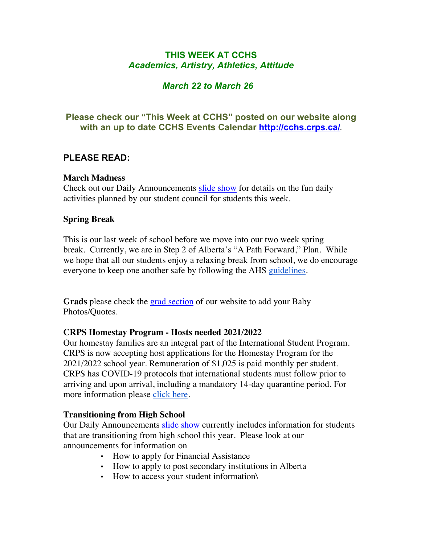# **THIS WEEK AT CCHS** *Academics, Artistry, Athletics, Attitude*

# *March 22 to March 26*

# **Please check our "This Week at CCHS" posted on our website along with an up to date CCHS Events Calendar<http://cchs.crps.ca/>**.

## **PLEASE READ:**

### **March Madness**

Check out our Daily Announcements [slide show](https://docs.google.com/presentation/d/1eKIacynJnXoiOT2vNIyyWorRDtkcVp_c5pX052OGIN8/edit?usp=sharing) for details on the fun daily activities planned by our student council for students this week.

### **Spring Break**

This is our last week of school before we move into our two week spring break. Currently, we are in Step 2 of Alberta's "A Path Forward," Plan. While we hope that all our students enjoy a relaxing break from school, we do encourage everyone to keep one another safe by following the AHS [guidelines](https://www.alberta.ca/enhanced-public-health-measures.aspx#restrictions).

**Grads** please check the [grad section](https://cchs.crps.ca/view.php?action=object&id=555&stream=Announcements) of our website to add your Baby Photos/Quotes.

### **CRPS Homestay Program - Hosts needed 2021/2022**

Our homestay families are an integral part of the International Student Program. CRPS is now accepting host applications for the Homestay Program for the 2021/2022 school year. Remuneration of \$1,025 is paid monthly per student. CRPS has COVID-19 protocols that international students must follow prior to arriving and upon arrival, including a mandatory 14-day quarantine period. For more information please [click here](https://crps.ca/Homestay Program.php).

### **Transitioning from High School**

Our Daily Announcements [slide show](https://docs.google.com/presentation/d/1eKIacynJnXoiOT2vNIyyWorRDtkcVp_c5pX052OGIN8/edit?usp=sharing) currently includes information for students that are transitioning from high school this year. Please look at our announcements for information on

- How to apply for Financial Assistance
- How to apply to post secondary institutions in Alberta
- How to access your student information\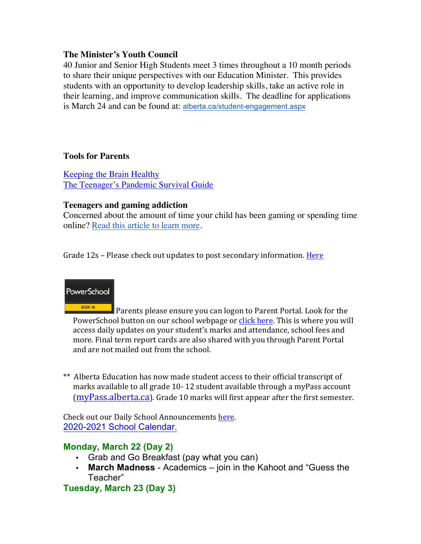### **The Minister's Youth Council**

40 Junior and Senior High Students meet 3 times throughout a 10 month periods to share their unique perspectives with our Education Minister. This provides students with an opportunity to develop leadership skills, take an active role in their learning, and improve communication skills. The deadline for applications is March 24 and can be found at: [alberta.ca/student-engagement.aspx](https://www.alberta.ca/student-engagement.aspx)

### **Tools for Parents**

[Keeping the Brain Healthy](https://cchs.crps.ca/documents/general/keeping the brain healthy_1.jpg) [The Teenager's Pandemic Survival Guide](https://cchs.crps.ca/documents/general/The Teenagers Pandemic Survival Guide_1.jpg)

### **Teenagers and gaming addiction**

Concerned about the amount of time your child has been gaming or spending time online? [Read this article to learn more](https://docs.google.com/document/d/1Ox97B7KI-nSHRxPBq-b_8SErmtiuX6sM1NCVODxmpk8/edit?usp=sharing).

Grade 12s – Please check out updates to post secondary information. Here



SIGN IN Parents please ensure you can logon to Parent Portal. Look for the PowerSchool button on our school webpage or click here. This is where you will access daily updates on your student's marks and attendance, school fees and more. Final term report cards are also shared with you through Parent Portal and are not mailed out from the school.

\*\* Alberta Education has now made student access to their official transcript of marks available to all grade 10-12 student available through a myPass account  $(myPass.alberta.ca)$  $(myPass.alberta.ca)$ . Grade 10 marks will first appear after the first semester.

Check out our Daily School Announcements here. [2020-2021 School Calendar.](https://crps.ca/documents/general/Final 2020-2021 Learning Calendar.pdf)

## **Monday, March 22 (Day 2)**

- Grab and Go Breakfast (pay what you can)
- **March Madness** Academics join in the Kahoot and "Guess the Teacher"

**Tuesday, March 23 (Day 3)**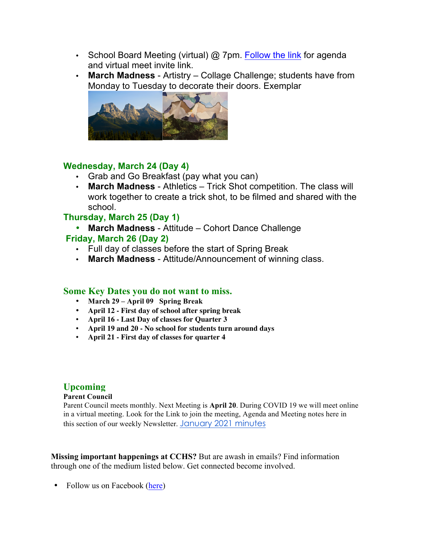- School Board Meeting (virtual) @ 7pm. [Follow the link](https://crps.ca/documents/general/Board Meeting Agenda March 2021.pdf) for agenda and virtual meet invite link.
- **March Madness** Artistry Collage Challenge; students have from Monday to Tuesday to decorate their doors. Exemplar



### **Wednesday, March 24 (Day 4)**

- Grab and Go Breakfast (pay what you can)
- **March Madness** Athletics Trick Shot competition. The class will work together to create a trick shot, to be filmed and shared with the school.

## **Thursday, March 25 (Day 1)**

- **March Madness** Attitude Cohort Dance Challenge **Friday, March 26 (Day 2)**
	- Full day of classes before the start of Spring Break
	- **March Madness** Attitude/Announcement of winning class.

#### **Some Key Dates you do not want to miss.**

- **March 29 – April 09 Spring Break**
- **April 12 - First day of school after spring break**
- **April 16 - Last Day of classes for Quarter 3**
- **April 19 and 20 - No school for students turn around days**
- **April 21 - First day of classes for quarter 4**

## **Upcoming**

#### **Parent Council**

Parent Council meets monthly. Next Meeting is **April 20**. During COVID 19 we will meet online in a virtual meeting. Look for the Link to join the meeting, Agenda and Meeting notes here in this section of our weekly Newsletter. [January 2021 minutes](https://docs.google.com/document/d/1S0WD_L2eJMPTt8OCzO13FEzbZz27M6kBkYHXb7l3LOE/edit?usp=sharing)

**Missing important happenings at CCHS?** But are awash in emails? Find information through one of the medium listed below. Get connected become involved.

• Follow us on Facebook ([here](https://www.facebook.com/cchscanmore/))